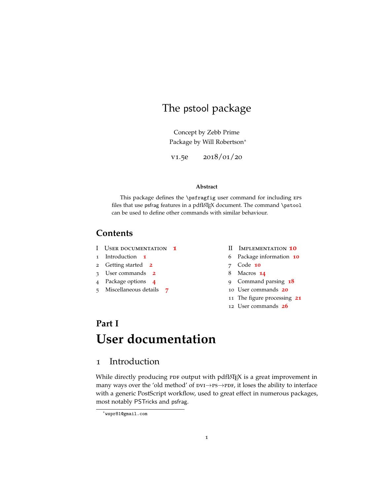## The pstool package

Concept by Zebb Prime Package by Will Robertson<sup>∗</sup>

v1.5e 2018/01/20

#### **Abstract**

This package defines the \psfragfig user command for including eps files that use psfrag features in a pdfLHEX document. The command \pstool can be used to define other commands with similar behaviour.

## **Contents**

- I User documentation **[1](#page-0-0)**
- 1 Introduction **[1](#page-0-1)**
- 2 Getting started **[2](#page-1-0)**
- 3 User commands **[2](#page-1-1)**
- 4 Package options **[4](#page-3-0)**
- 5 Miscellaneous details **[7](#page-6-0)**
- II Implementation **[10](#page-9-0)**
- 6 Package information **[10](#page-9-1)**
- 7 Code **[10](#page-9-2)**
- 8 Macros **[14](#page-13-0)**
- 9 Command parsing **[18](#page-17-0)**
- 10 User commands **[20](#page-19-0)**
- 11 The figure processing **[21](#page-20-0)**
- 12 User commands **[26](#page-25-0)**

# <span id="page-0-0"></span>**Part I User documentation**

## <span id="page-0-1"></span>1 Introduction

While directly producing  $PDF$  output with pdfLAT<sub>E</sub>X is a great improvement in many ways over the 'old method' of  $pvI\rightarrow PS\rightarrow PDF$ , it loses the ability to interface with a generic PostScript workflow, used to great effect in numerous packages, most notably PSTricks and psfrag.

<sup>∗</sup>wspr81@gmail.com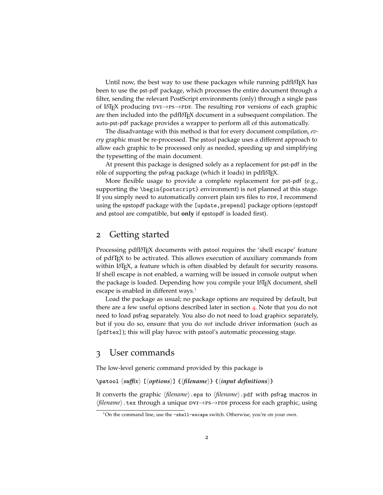Until now, the best way to use these packages while running pdfLAT<sub>E</sub>X has been to use the pst-pdf package, which processes the entire document through a filter, sending the relevant PostScript environments (only) through a single pass of LATEX producing  $pvI \rightarrow PS \rightarrow PDF$ . The resulting PDF versions of each graphic are then included into the pdfLAT<sub>EX</sub> document in a subsequent compilation. The auto-pst-pdf package provides a wrapper to perform all of this automatically.

The disadvantage with this method is that for every document compilation, *every* graphic must be re-processed. The pstool package uses a different approach to allow each graphic to be processed only as needed, speeding up and simplifying the typesetting of the main document.

At present this package is designed solely as a replacement for pst-pdf in the rôle of supporting the psfrag package (which it loads) in pdfLAT<sub>E</sub>X.

More flexible usage to provide a complete replacement for pst-pdf (e.g., supporting the \begin{postscript} environment) is not planned at this stage. If you simply need to automatically convert plain EPS files to PDF, I recommend using the epstopdf package with the [update, prepend] package options (epstopdf and pstool are compatible, but **only** if epstopdf is loaded first).

## <span id="page-1-0"></span>2 Getting started

Processing pdfLAT<sub>EX</sub> documents with pstool requires the 'shell escape' feature of pdfTEX to be activated. This allows execution of auxiliary commands from within LAT<sub>EX</sub>, a feature which is often disabled by default for security reasons. If shell escape is not enabled, a warning will be issued in console output when the package is loaded. Depending how you compile your LATEX document, shell escape is enabled in different ways.<sup>[1](#page-1-2)</sup>

Load the package as usual; no package options are required by default, but there are a few useful options described later in section [4](#page-3-0). Note that you do not need to load psfrag separately. You also do not need to load graphicx separately, but if you do so, ensure that you do *not* include driver information (such as [pdftex]); this will play havoc with pstool's automatic processing stage.

## <span id="page-1-1"></span>3 User commands

The low-level generic command provided by this package is

#### \pstool  $\langle$ *suffix* $\rangle$  [ $\langle$ *options* $\rangle$ ] { $\langle$ *filename*}} { $\langle$ *input definitions* $\rangle$ }

It converts the graphic  $\langle$ *filename* $\rangle$ .eps to  $\langle$ *filename* $\rangle$ .pdf with psfrag macros in *\filename*}.tex through a unique  $pvI\rightarrow PS\rightarrow PDF$  process for each graphic, using

<span id="page-1-2"></span><sup>&</sup>lt;sup>1</sup>On the command line, use the -shell-escape switch. Otherwise, you're on your own.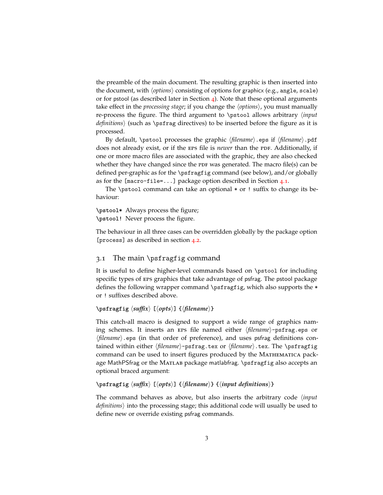the preamble of the main document. The resulting graphic is then inserted into the document, with  $\langle options \rangle$  consisting of options for graphicx (e.g., angle, scale) or for pstool (as described later in Section  $\phi$ ). Note that these optional arguments take effect in the *processing stage*; if you change the  $\langle options \rangle$ , you must manually re-process the figure. The third argument to \pstool allows arbitrary h*input definitions*) (such as \psfrag directives) to be inserted before the figure as it is processed.

By default, \pstool processes the graphic  $\langle$ *filename* $\rangle$ .eps if  $\langle$ *filename* $\rangle$ .pdf does not already exist, or if the EPS file is *newer* than the PDF. Additionally, if one or more macro files are associated with the graphic, they are also checked whether they have changed since the PDF was generated. The macro file(s) can be defined per-graphic as for the \psfragfig command (see below), and/or globally as for the [macro-file=...] package option described in Section [4](#page-3-1).1.

The \pstool command can take an optional  $*$  or ! suffix to change its behaviour:

**\pstool\*** Always process the figure; **\pstool!** Never process the figure.

The behaviour in all three cases can be overridden globally by the package option [process] as described in section [4](#page-3-2).2.

#### 3.1 The main \psfragfig command

It is useful to define higher-level commands based on \pstool for including specific types of eps graphics that take advantage of psfrag. The pstool package defines the following wrapper command \psfragfig, which also supports the \* or ! suffixes described above.

#### $\text{psfraging} \left\langle \text{Suffix} \right\rangle \left\{ \text{filename} \right\}$

This catch-all macro is designed to support a wide range of graphics naming schemes. It inserts an EPS file named either  $\langle$ *filename* $\rangle$ -psfrag.eps or  $\langle$ *filename* $\rangle$ .eps (in that order of preference), and uses psfrag definitions contained within either (*filename*)-psfrag.tex or (*filename*).tex. The \psfragfig command can be used to insert figures produced by the Mathematica package MathPSfrag or the MATLAB package matlabfrag. \psfragfig also accepts an optional braced argument:

#### \psfragfig  $\langle \textit{suffix} \rangle$  [ $\langle \textit{opts} \rangle$ ]  $\{ \langle \textit{input definitions} \rangle \}$

The command behaves as above, but also inserts the arbitrary code h*input definitions*) into the processing stage; this additional code will usually be used to define new or override existing psfrag commands.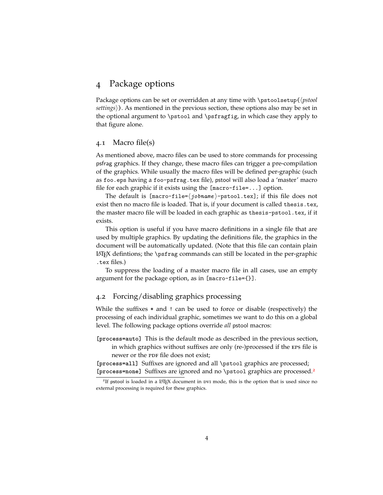## <span id="page-3-0"></span>4 Package options

Package options can be set or overridden at any time with \pstoolsetup{\*pstool* settings). As mentioned in the previous section, these options also may be set in the optional argument to \pstool and \psfragfig, in which case they apply to that figure alone.

#### <span id="page-3-1"></span>4.1 Macro file(s)

As mentioned above, macro files can be used to store commands for processing psfrag graphics. If they change, these macro files can trigger a pre-compilation of the graphics. While usually the macro files will be defined per-graphic (such as foo.eps having a foo-psfrag.tex file), pstool will also load a 'master' macro file for each graphic if it exists using the [macro-file=...] option.

The default is  $[\text{macro-file} = \langle jobname \rangle - \text{proto}$ .tex]; if this file does not exist then no macro file is loaded. That is, if your document is called thesis.tex, the master macro file will be loaded in each graphic as thesis-pstool.tex, if it exists.

This option is useful if you have macro definitions in a single file that are used by multiple graphics. By updating the definitions file, the graphics in the document will be automatically updated. (Note that this file can contain plain  $\Delta$ ET<sub>E</sub>X defintions; the \psfrag commands can still be located in the per-graphic .tex files.)

To suppress the loading of a master macro file in all cases, use an empty argument for the package option, as in [macro-file={}].

#### <span id="page-3-2"></span>4.2 Forcing/disabling graphics processing

While the suffixes  $*$  and ! can be used to force or disable (respectively) the processing of each individual graphic, sometimes we want to do this on a global level. The following package options override *all* pstool macros:

**[process=auto]** This is the default mode as described in the previous section, in which graphics without suffixes are only (re-)processed if the eps file is newer or the PDF file does not exist;

**[process=all]** Suffixes are ignored and all \pstool graphics are processed; **[process=none]** Suffixes are ignored and no \pstool graphics are processed.[2](#page-3-3)

<span id="page-3-3"></span><sup>&</sup>lt;sup>2</sup>If pstool is loaded in a LAT<sub>E</sub>X document in DVI mode, this is the option that is used since no external processing is required for these graphics.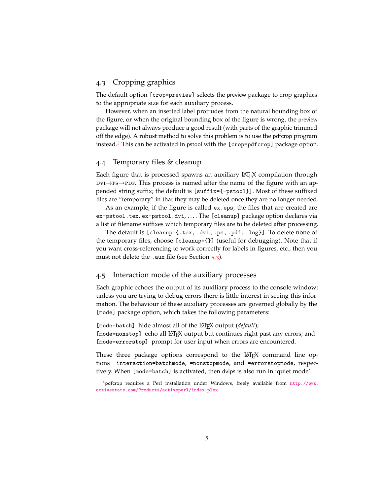#### 4.3 Cropping graphics

The default option [crop=preview] selects the preview package to crop graphics to the appropriate size for each auxiliary process.

However, when an inserted label protrudes from the natural bounding box of the figure, or when the original bounding box of the figure is wrong, the preview package will not always produce a good result (with parts of the graphic trimmed off the edge). A robust method to solve this problem is to use the pdfcrop program instead.<sup>[3](#page-4-0)</sup> This can be activated in pstool with the [crop=pdfcrop] package option.

#### 4.4 Temporary files & cleanup

Each figure that is processed spawns an auxiliary LATEX compilation through  $\text{d}v\rightarrow\text{p}$ -pavid. This process is named after the name of the figure with an appended string suffix; the default is [suffix={-pstool}]. Most of these suffixed files are "temporary" in that they may be deleted once they are no longer needed.

As an example, if the figure is called ex.eps, the files that are created are ex-pstool.tex, ex-pstool.dvi, . . . . The [cleanup] package option declares via a list of filename suffixes which temporary files are to be deleted after processing.

The default is [cleanup={.tex, .dvi, .ps, .pdf, .log}]. To delete none of the temporary files, choose [cleanup={}] (useful for debugging). Note that if you want cross-referencing to work correctly for labels in figures, etc., then you must not delete the .aux file (see Section [5](#page-7-0).3).

#### 4.5 Interaction mode of the auxiliary processes

Each graphic echoes the output of its auxiliary process to the console window; unless you are trying to debug errors there is little interest in seeing this information. The behaviour of these auxiliary processes are governed globally by the [mode] package option, which takes the following parameters:

[mode=batch] hide almost all of the LAT<sub>E</sub>X output (*default*); [mode=nonstop] echo all LAT<sub>E</sub>X output but continues right past any errors; and **[mode=errorstop]** prompt for user input when errors are encountered.

These three package options correspond to the  $L^2\Gamma$ <sub>EX</sub> command line options -interaction=batchmode, =nonstopmode, and =errorstopmode, respectively. When [mode=batch] is activated, then dvips is also run in 'quiet mode'.

<span id="page-4-0"></span><sup>3</sup>pdfcrop requires a Perl installation under Windows, freely available from [http://www.](http://www.activestate.com/Products/activeperl/index.plex) [activestate.com/Products/activeperl/index.plex](http://www.activestate.com/Products/activeperl/index.plex)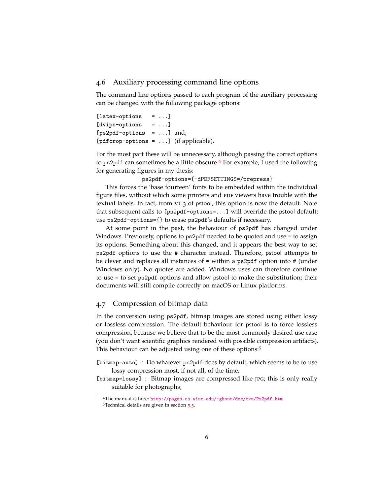#### 4.6 Auxiliary processing command line options

The command line options passed to each program of the auxiliary processing can be changed with the following package options:

```
[latex-options = ...]
[dvips-options = ...]
[ps2pdf-options = ...] and,
[pdfcrop-options = ...] (if applicable).
```
For the most part these will be unnecessary, although passing the correct options to ps2pdf can sometimes be a little obscure.[4](#page-5-0) For example, I used the following for generating figures in my thesis:

ps2pdf-options={-dPDFSETTINGS=/prepress}

This forces the 'base fourteen' fonts to be embedded within the individual figure files, without which some printers and PDF viewers have trouble with the textual labels. In fact, from v1.3 of pstool, this option is now the default. Note that subsequent calls to [ps2pdf-options=...] will override the pstool default; use ps2pdf-options={} to erase ps2pdf's defaults if necessary.

At some point in the past, the behaviour of ps2pdf has changed under Windows. Previously, options to ps2pdf needed to be quoted and use = to assign its options. Something about this changed, and it appears the best way to set ps2pdf options to use the # character instead. Therefore, pstool attempts to be clever and replaces all instances of = within a ps2pdf option into # (under Windows only). No quotes are added. Windows uses can therefore continue to use = to set ps2pdf options and allow pstool to make the substitution; their documents will still compile correctly on macOS or Linux platforms.

#### 4.7 Compression of bitmap data

In the conversion using ps2pdf, bitmap images are stored using either lossy or lossless compression. The default behaviour for pstool is to force lossless compression, because we believe that to be the most commonly desired use case (you don't want scientific graphics rendered with possible compression artifacts). This behaviour can be adjusted using one of these options:[5](#page-5-1)

- **[bitmap=auto]** : Do whatever ps2pdf does by default, which seems to be to use lossy compression most, if not all, of the time;
- **[bitmap=lossy]** : Bitmap images are compressed like jpg; this is only really suitable for photographs;

<span id="page-5-0"></span><sup>4</sup>The manual is here: <http://pages.cs.wisc.edu/~ghost/doc/cvs/Ps2pdf.htm>

<span id="page-5-1"></span><sup>&</sup>lt;sup>[5](#page-8-0)</sup>Technical details are given in section 5.5.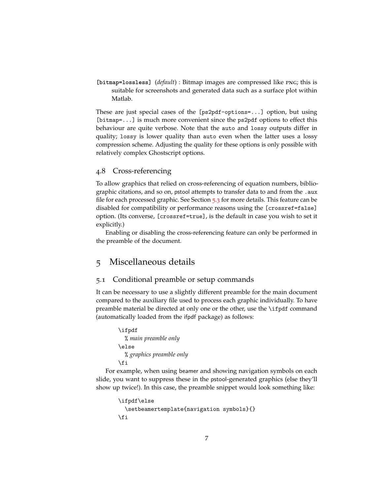**[bitmap=lossless]** (*default*) : Bitmap images are compressed like png; this is suitable for screenshots and generated data such as a surface plot within Matlab.

These are just special cases of the [ps2pdf-options=...] option, but using [bitmap=...] is much more convenient since the ps2pdf options to effect this behaviour are quite verbose. Note that the auto and lossy outputs differ in quality; lossy is lower quality than auto even when the latter uses a lossy compression scheme. Adjusting the quality for these options is only possible with relatively complex Ghostscript options.

#### 4.8 Cross-referencing

To allow graphics that relied on cross-referencing of equation numbers, bibliographic citations, and so on, pstool attempts to transfer data to and from the .aux file for each processed graphic. See Section [5](#page-7-0).3 for more details. This feature can be disabled for compatibility or performance reasons using the [crossref=false] option. (Its converse, [crossref=true], is the default in case you wish to set it explicitly.)

Enabling or disabling the cross-referencing feature can only be performed in the preamble of the document.

## <span id="page-6-0"></span>5 Miscellaneous details

#### 5.1 Conditional preamble or setup commands

It can be necessary to use a slightly different preamble for the main document compared to the auxiliary file used to process each graphic individually. To have preamble material be directed at only one or the other, use the \ifpdf command (automatically loaded from the ifpdf package) as follows:

```
\ifpdf
  % main preamble only
\else
  % graphics preamble only
\fi
```
For example, when using beamer and showing navigation symbols on each slide, you want to suppress these in the pstool-generated graphics (else they'll show up twice!). In this case, the preamble snippet would look something like:

```
\ifpdf\else
  \setbeamertemplate{navigation symbols}{}
\fi
```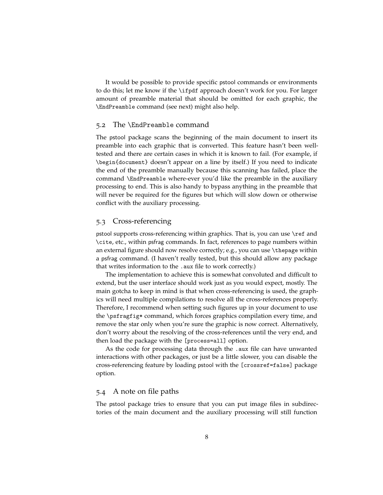It would be possible to provide specific pstool commands or environments to do this; let me know if the \ifpdf approach doesn't work for you. For larger amount of preamble material that should be omitted for each graphic, the \EndPreamble command (see next) might also help.

#### 5.2 The \EndPreamble command

The pstool package scans the beginning of the main document to insert its preamble into each graphic that is converted. This feature hasn't been welltested and there are certain cases in which it is known to fail. (For example, if \begin{document} doesn't appear on a line by itself.) If you need to indicate the end of the preamble manually because this scanning has failed, place the command \EndPreamble where-ever you'd like the preamble in the auxiliary processing to end. This is also handy to bypass anything in the preamble that will never be required for the figures but which will slow down or otherwise conflict with the auxiliary processing.

#### <span id="page-7-0"></span>5.3 Cross-referencing

pstool supports cross-referencing within graphics. That is, you can use \ref and \cite, etc., within psfrag commands. In fact, references to page numbers within an external figure should now resolve correctly; e.g., you can use \thepage within a psfrag command. (I haven't really tested, but this should allow any package that writes information to the .aux file to work correctly.)

The implementation to achieve this is somewhat convoluted and difficult to extend, but the user interface should work just as you would expect, mostly. The main gotcha to keep in mind is that when cross-referencing is used, the graphics will need multiple compilations to resolve all the cross-references properly. Therefore, I recommend when setting such figures up in your document to use the \psfragfig\* command, which forces graphics compilation every time, and remove the star only when you're sure the graphic is now correct. Alternatively, don't worry about the resolving of the cross-references until the very end, and then load the package with the [process=all] option.

As the code for processing data through the .aux file can have unwanted interactions with other packages, or just be a little slower, you can disable the cross-referencing feature by loading pstool with the [crossref=false] package option.

#### 5.4 A note on file paths

The pstool package tries to ensure that you can put image files in subdirectories of the main document and the auxiliary processing will still function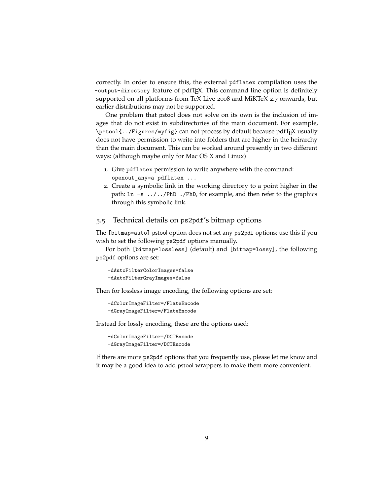correctly. In order to ensure this, the external pdflatex compilation uses the -output-directory feature of pdfTEX. This command line option is definitely supported on all platforms from TeX Live 2008 and MiKTeX 2.7 onwards, but earlier distributions may not be supported.

One problem that pstool does not solve on its own is the inclusion of images that do not exist in subdirectories of the main document. For example, \pstool{../Figures/myfig} can not process by default because pdfTEX usually does not have permission to write into folders that are higher in the heirarchy than the main document. This can be worked around presently in two different ways: (although maybe only for Mac OS X and Linux)

- 1. Give pdflatex permission to write anywhere with the command: openout\_any=a pdflatex ...
- 2. Create a symbolic link in the working directory to a point higher in the path:  $\ln -s$  ... / ... / PhD ... / PhD, for example, and then refer to the graphics through this symbolic link.

#### <span id="page-8-0"></span>5.5 Technical details on ps2pdf's bitmap options

The [bitmap=auto] pstool option does not set any ps2pdf options; use this if you wish to set the following ps2pdf options manually.

For both [bitmap=lossless] (default) and [bitmap=lossy], the following ps2pdf options are set:

```
-dAutoFilterColorImages=false
-dAutoFilterGrayImages=false
```
Then for lossless image encoding, the following options are set:

-dColorImageFilter=/FlateEncode -dGrayImageFilter=/FlateEncode

Instead for lossly encoding, these are the options used:

-dColorImageFilter=/DCTEncode -dGrayImageFilter=/DCTEncode

If there are more ps2pdf options that you frequently use, please let me know and it may be a good idea to add pstool wrappers to make them more convenient.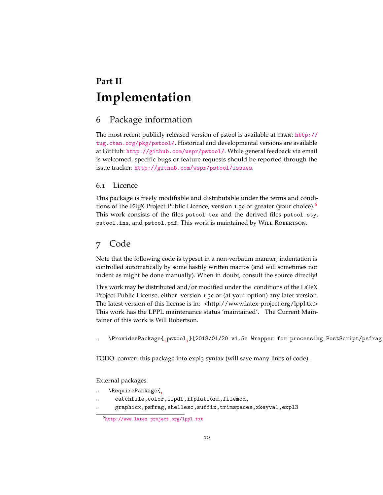# <span id="page-9-0"></span>**Part II Implementation**

## <span id="page-9-1"></span>6 Package information

The most recent publicly released version of pstool is available at CTAN: [http://](http://tug.ctan.org/pkg/pstool/) [tug.ctan.org/pkg/pstool/](http://tug.ctan.org/pkg/pstool/). Historical and developmental versions are available at GitHub: <http://github.com/wspr/pstool/>. While general feedback via email is welcomed, specific bugs or feature requests should be reported through the issue tracker: <http://github.com/wspr/pstool/issues>.

#### 6.1 Licence

This package is freely modifiable and distributable under the terms and condi-tions of the LAT<sub>E</sub>X Project Public Licence, version 1.3c or greater (your choice).<sup>[6](#page-9-3)</sup> This work consists of the files pstool.tex and the derived files pstool.sty, pstool.ins, and pstool.pdf. This work is maintained by WILL ROBERTSON.

## <span id="page-9-2"></span>7 Code

Note that the following code is typeset in a non-verbatim manner; indentation is controlled automatically by some hastily written macros (and will sometimes not indent as might be done manually). When in doubt, consult the source directly!

This work may be distributed and/or modified under the conditions of the LaTeX Project Public License, either version 1.3c or (at your option) any later version. The latest version of this license is in: <http://www.latex-project.org/lppl.txt> This work has the LPPL maintenance status 'maintained'. The Current Maintainer of this work is Will Robertson.

 $_{13}$   $\,$  \ProvidesPackage $\{$ <sub>1</sub>pstoo $1$ <sub>1</sub>}[2018/01/20 v1.5e Wrapper for processing PostScript/psfrag

TODO: convert this package into expl3 syntax (will save many lines of code).

External packages:

- <sup>18</sup> \RequirePackage{**<sup>1</sup>**
- catchfile,color,ifpdf,ifplatform,filemod,
- graphicx,psfrag,shellesc,suffix,trimspaces,xkeyval,expl3

<span id="page-9-3"></span><sup>6</sup><http://www.latex-project.org/lppl.txt>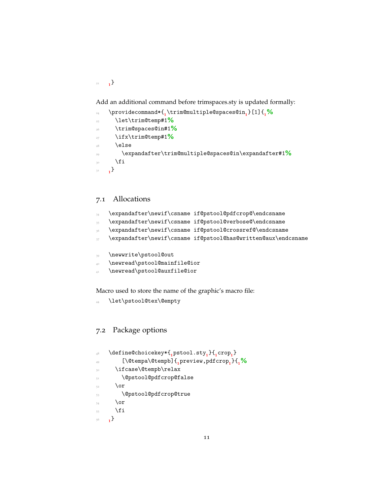<sup>21</sup> **<sup>1</sup>** }

Add an additional command before trimspaces.sty is updated formally:

```
24 \providecommand*{1
\trim@multiple@spaces@in1
}[1]{1%
25 \let\trim@temp#1%
26 \trim@spaces@in#1%
27 \ifx\trim@temp#1%
     \else
29 \expandafter\trim@multiple@spaces@in\expandafter#1%
     \chii
31 1
```
## 7.1 Allocations

- \expandafter\newif\csname if@pstool@pdfcrop@\endcsname
- \expandafter\newif\csname if@pstool@verbose@\endcsname
- \expandafter\newif\csname if@pstool@crossref@\endcsname
- \expandafter\newif\csname if@pstool@has@written@aux\endcsname
- \newwrite\pstool@out
- \newread\pstool@mainfile@ior
- <sup>41</sup> \newread\pstool@auxfile@ior

Macro used to store the name of the graphic's macro file:

\let\pstool@tex\@empty

### 7.2 Package options

```
48 \define@choicekey*{1
pstool.sty1
}{1
crop1
}
49 [\@tempa\@tempb]{1
preview,pdfcrop1
}{1%
      \ifcase\@tempb\relax
51 \@pstool@pdfcrop@false
52 \over \sqrt{or}53 \@pstool@pdfcrop@true
54 \overline{\arctan 6}55 \fi
56 1
}
```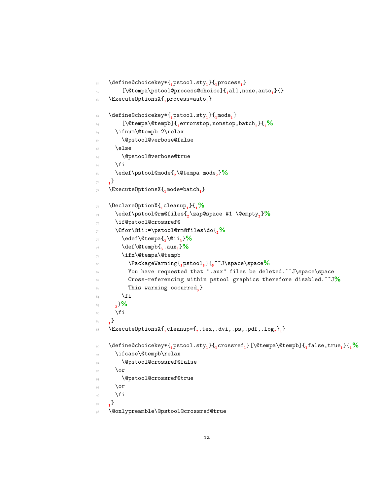```
58 \define@choicekey*{1
pstool.sty1
}{1
process1
}
59 [\@tempa\pstool@process@choice]{1
all,none,auto1
}{}
60 \ExecuteOptionsX{1
process=auto1
}
\text{62} \text{define@choice} + \text{61}63 [\@tempa\@tempb]{1
errorstop,nonstop,batch1
}{1%
64 \ifnum\@tempb=2\relax
65 \@pstool@verbose@false
66 \else
67 \@pstool@verbose@true
68 \fi
69 \edef\pstool@mode{2
\@tempa mode2
}%
70 1
}
71 \ExecuteOptionsX{1
mode=batch1
}
73 \DeclareOptionX{1
cleanup1
}{1%
74 \edef\pstool@rm@files{2
\zap@space #1 \@empty2
}%
75 \if@pstool@crossref@
      76 \@for\@ii:=\pstool@rm@files\do{2%
77 \edef\@tempa{3
\@ii3
}%
78 \def\@tempb{3
.aux3
}%
79 \ifx\@tempa\@tempb
80 \PackageWarning{3
pstool3
}{3
^^J\space\space%
81 You have requested that ".aux" files be deleted.^^J\space\space
          82 Cross-referencing within pstool graphics therefore disabled.^^J%
83 This warning occurred<sub>3</sub>}
84 \overline{\phantom{a}} \fi
85 2
      }%
86 \sqrt{fi}87 1
}
88 \ExecuteOptionsX{1
cleanup={2
.tex,.dvi,.ps,.pdf,.log2
}1
}
90 \define@choicekey*{1
pstool.sty1
}{1
crossref1
}[\@tempa\@tempb]{1
false,true1
}{1%
91 \ifcase\@tempb\relax
92 \@pstool@crossref@false
\overline{\mathbf{S}} \or
        94 \@pstool@crossref@true
\circ \or
96 \qquad \qquad \text{if i}97 1
}
98 \@onlypreamble\@pstool@crossref@true
```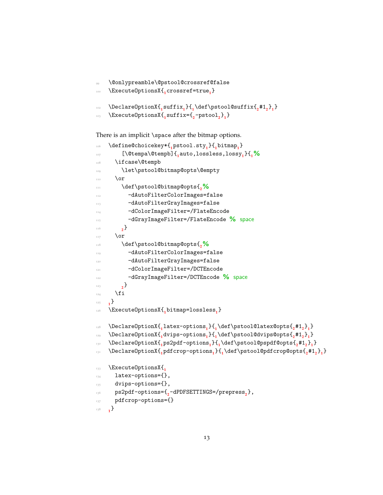```
99 \@onlypreamble\@pstool@crossref@false
100 \ExecuteOptionsX{1
crossref=true1
}
\text{1} \text{1} \text{1} \text{1} \text{1} \text{1} \text{1} \text{1} \text{1} \text{1} \text{1} \text{1} \text{1} \text{1} \text{1} \text{1} \text{1} \text{1}103 \ExecuteOptionsX{1
suffix={2
-pstool2
}1
}
```
There is an implicit \space after the bitmap options.

```
106 \define@choicekey*{1
pstool.sty1
}{1
bitmap1
}
107 [\@tempa\@tempb]{1
auto,lossless,lossy1
}{1%
108 \ifcase\@tempb
109 \let\pstool@bitmap@opts\@empty
110 \or
111 \def\pstool@bitmap@opts{2%
112 -dAutoFilterColorImages=false
113 -dAutoFilterGrayImages=false
114 -dColorImageFilter=/FlateEncode
115 -dGrayImageFilter=/FlateEncode % space
116 2
           \}117 \overline{\phantom{a}} \or
118 \def\pstool@bitmap@opts{2%
119 -dAutoFilterColorImages=false
120 -dAutoFilterGrayImages=false
121 -dColorImageFilter=/DCTEncode
122 -dGrayImageFilter=/DCTEncode % space
123 2
}
124 \fi
125 1
     \{ \}126 \ExecuteOptionsX{1
bitmap=lossless1
}
\text{128} \DeclareOptionX\{^{}_{1}latex-options^{}_{1}\}\{^{}_{1}\def\pstool@latex@opts\{^{}_{2}\#1^{}_{2}\}}
<sup>129</sup> \DeclareOptionX\{<sub>1</sub>dvips-options<sub>1</sub>\}\{<sub>1</sub>\def\pstool@dvips@opts\{<sub>2</sub>#1<sub>2</sub>\}<sub>1</sub>\}\text{130} \DeclareOptionX{\text{1}\text{ps2pdf-options}_1\text{left}( \def\pstool@pspdf@opts{\text{2}\text{#1}_2\text{left}(\text{131} \DeclareOptionX\text{\{{}_{p}}dfcrop-options\text{\{{}_{1}}\text{{}_{q}}\text{{}_{q}}\text{{}_{q}}\text{{}_{q}}\text{{}_{q}}\text{{}_{q}}\text{{}_{q}}\text{{}_{q}}\text{{}_{q}}\text{{}_{q}}\text{{}_{q}}\text{{}_{q}}\text{{}_{q}}\text{{}_{q}}\text{{}_{q}}\text{{}_{q}}\text{{}_{q}}\text{{}_{q}}\text{{}_{q}}\text{{}_{q}}\text{{}_{q}}\text{{}_{q}}\text{{}_{q}}\text{133 \ExecuteOptionsX{<sub>1</sub>
134 latex-options={},
135 dvips-options={},
136 ps2pdf-options={2
-dPDFSETTINGS=/prepress2
},
137 pdfcrop-options={}
138 1
     \,{}_{1}}
```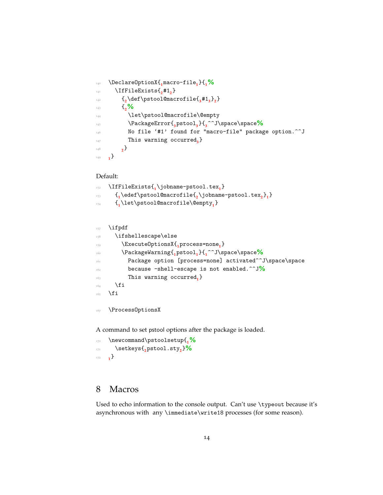```
140 \DeclareOptionX{1
macro-file1
}{1%
<sup>141</sup> \IfFileExists{<sub>2</sub>#1<sub>2</sub>}
\{2\det\psi\} and \{2\det\psi\}\frac{1}{43} \frac{1}{20}144 \let\pstool@macrofile\@empty
145 \PackageError{3
pstool3
}{3
^^J\space\space%
146 No file '#1' found for "macro-file" package option.^^J
<sup>147</sup> This warning occurred<sub>3</sub></sub>}
148 2
         _{2}149 1
    ^{1}
```
#### Default:

```
152 \IfFileExists{1
\jobname-pstool.tex1
}
153 {1
\edef\pstool@macrofile{2
\jobname-pstool.tex2
}1
}
154 {1
\let\pstool@macrofile\@empty1
}
```
#### <sup>157</sup> \ifpdf

| 158 | \ifshellescape\else                                    |
|-----|--------------------------------------------------------|
| 159 | \Execute0ptionsX{,process=none,}                       |
| 160 | \PackageWarning{,pstool,}{,^^J\space\space%            |
| 161 | Package option [process=none] activated^^J\space\space |
| 162 | because -shell-escape is not enabled. $\sim J\%$       |
| 163 | This warning occurred, }                               |
| 164 | \fi                                                    |
| 165 | \fi                                                    |
|     |                                                        |

167 \ProcessOptionsX

A command to set pstool options after the package is loaded.

```
170 \newcommand\pstoolsetup{1%
171 \setkeys{2
pstool.sty2
}%
172 1
    _{1}}
```
## <span id="page-13-0"></span>8 Macros

Used to echo information to the console output. Can't use \typeout because it's asynchronous with any \immediate\write18 processes (for some reason).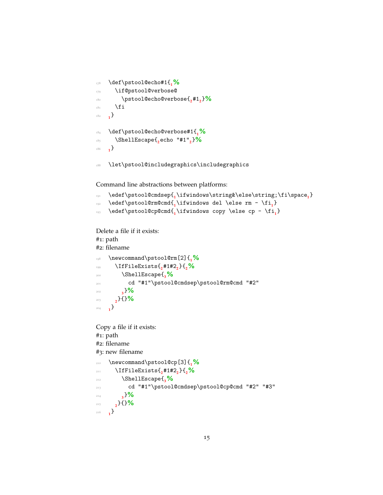```
178 \def\pstool@echo#1{1%
179 \if@pstool@verbose@
180 \pstool@echo@verbose{2
#12
}%
181 \fi
182 1
    \left\{\right\}184 \def\pstool@echo@verbose#1{1%
185 \ShellEscape{2
echo "#1"2
}%
186 1
    ^{1}
```
<sup>188</sup> \let\pstool@includegraphics\includegraphics

Command line abstractions between platforms:

```
<sup>191</sup> \edef\pstool@cmdsep\{<sub>1</sub>\ifwindows\string&\else\string;\fi\space<sub>1</sub>}
```
- <sup>192</sup> \edef\pstool@rm@cmd{**<sup>1</sup>** \ifwindows del \else rm \fi**<sup>1</sup>** }
- <sup>193</sup> \edef\pstool@cp@cmd{**<sup>1</sup>** \ifwindows copy \else cp \fi**<sup>1</sup>** }

```
Delete a file if it exists:
#1: path
#2: filename
198 \newcommand\pstool@rm[2]{1%
199 \IfFileExists{2
#1#22
}{2%
200 \ShellEscape{3%
201 cd "#1"\pstool@cmdsep\pstool@rm@cmd "#2"
202 3
}%
203 2
     }{}%
204 1
    ^{1}Copy a file if it exists:
#1: path
#2: filename
#3: new filename
210 \newcommand\pstool@cp[3]{1%
211 \IfFileExists{2
#1#22
}{2%
212 \ShellEscape{3%
213 cd "#1"\pstool@cmdsep\pstool@cp@cmd "#2" "#3"
214 3
        }%
215 2
}{}%
   \}
```
<sup>216</sup> **<sup>1</sup>**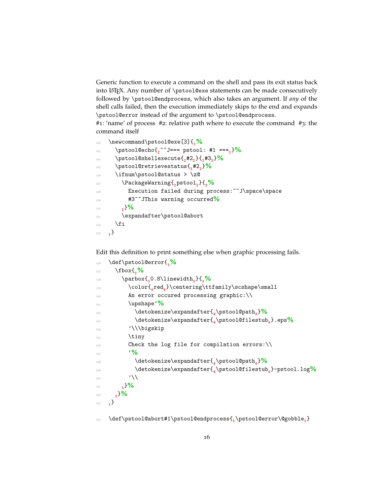Generic function to execute a command on the shell and pass its exit status back into LATEX. Any number of \pstool@exe statements can be made consecutively followed by \pstool@endprocess, which also takes an argument. If *any* of the shell calls failed, then the execution immediately skips to the end and expands \pstool@error instead of the argument to \pstool@endprocess.

#1: 'name' of process #2: relative path where to execute the command #3: the command itself

```
222 \newcommand\pstool@exe[3]{1%
223 \pstool@echo{2
^^J=== pstool: #1 ===2
}%
224 \pstool@shellexecute{2
#22
}{2
#32
}%
225 \pstool@retrievestatus{2
#22
}%
226 \ifnum\pstool@status > \z@
227 \PackageWarning{2
pstool2
}{2%
228 Execution failed during process:^^J\space\space
229 #3^^JThis warning occurred%
230 2
       }%
231 \expandafter\pstool@abort
232 \qquad \text{if}233 1
}
```
Edit this definition to print something else when graphic processing fails.

```
236 \def\pstool@error{1%
237 \fbox{2%
238 \parbox{3
0.8\linewidth3
}{3%
239 \color{4
red4
}\centering\ttfamily\scshape\small
240 An error occured processing graphic:\\
241 \upshape'%
242 \detokenize\expandafter{4
\pstool@path4
}%
243 \detokenize\expandafter{4
\pstool@filestub4
}.eps%
\sum_{244} '\\bigskip
245 \tiny
246 Check the log file for compilation errors:\\
\frac{1}{247} \frac{1}{247}248 \detokenize\expandafter{4
\pstool@path4
}%
249 \detokenize\expandafter{4
\pstool@filestub4
}-pstool.log%
\sum_{250} '\\
251 3
       }%
252 2
}%
253 1
   ^{1}
```
\def\pstool@abort#1\pstool@endprocess{**<sup>1</sup>** \pstool@error\@gobble**<sup>1</sup>** }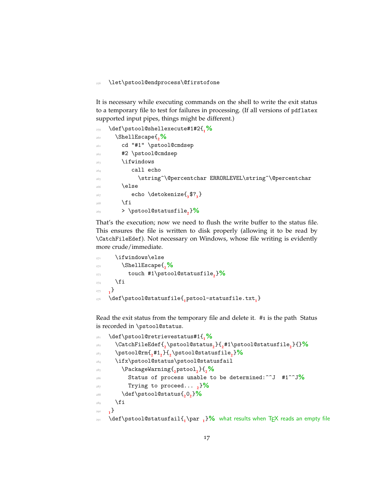\let\pstool@endprocess\@firstofone

It is necessary while executing commands on the shell to write the exit status to a temporary file to test for failures in processing. (If all versions of pdflatex supported input pipes, things might be different.)

| 259 | \def\pstool@shellexecute#1#2{ <sub>1</sub> %          |
|-----|-------------------------------------------------------|
| 260 | \ShellEscape{,%                                       |
| 261 | cd "#1" \pstool@cmdsep                                |
| 262 | #2 \pstool@cmdsep                                     |
| 263 | \ifwindows                                            |
| 264 | call echo                                             |
| 265 | \string^\@percentchar ERRORLEVEL\string^\@percentchar |
| 266 | \else                                                 |
| 267 | echo \detokenize $\{3$ ?                              |
| 268 | \fi                                                   |
| 269 | > \pstool@statusfile, $\frac{9}{6}$                   |
|     |                                                       |

That's the execution; now we need to flush the write buffer to the status file. This ensures the file is written to disk properly (allowing it to be read by \CatchFileEdef). Not necessary on Windows, whose file writing is evidently more crude/immediate.

```
_{271} \ifwindows\else
272 \ShellEscape{2%
273 touch #1\pstool@statusfile2
}%
_{274} \fi
275 1
    \mathbf{1}276 \def\pstool@statusfile{1
pstool-statusfile.txt1
}
```
Read the exit status from the temporary file and delete it. #1 is the path Status is recorded in \pstool@status.

```
281 \def\pstool@retrievestatus#1{1%
282 \CatchFileEdef{2
\pstool@status2
}{2
#1\pstool@statusfile2
}{}%
283 \pstool@rm{2
#12
}{2
\pstool@statusfile2
}%
284 \ifx\pstool@status\pstool@statusfail
285 \PackageWarning{2
pstool2
}{2%
286 Status of process unable to be determined:^^J #1^^J%
287 Trying to proceed... 2
}%
288 \def\pstool@status{2
02
}%
289 \fi
290 1
    \{ \}\text{} \text{def\phi} \text{def}\phi \text{def}\phi and \text{def}\phi \text{def}\phi and \text{def}\phi
```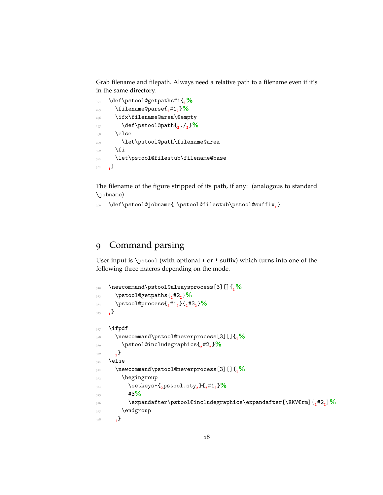Grab filename and filepath. Always need a relative path to a filename even if it's in the same directory.

```
294 \def\pstool@getpaths#1{1%
295 \filename@parse{2
#12
}%
296 \ifx\filename@area\@empty
297 \def\pstool@path{2
./2
}%
_{298} \else
299 \let\pstool@path\filename@area
     \chii
301 \let\pstool@filestub\filename@base
302 1
}
```
The filename of the figure stripped of its path, if any: (analogous to standard \jobname)

\def\pstool@jobname{**<sup>1</sup>** \pstool@filestub\pstool@suffix**<sup>1</sup>** }

## <span id="page-17-0"></span>Command parsing

User input is \pstool (with optional \* or ! suffix) which turns into one of the following three macros depending on the mode.

```
312 \newcommand\pstool@alwaysprocess[3][]{1%
313 \pstool@getpaths{2
#22
}%
314 \pstool@process{2
#12
}{2
#32
}%
315 1
}
317 \ifpdf
318 \newcommand\pstool@neverprocess[3][]{1%
319 \pstool@includegraphics{2
#22
}%
320 1
}
321 \else
322 \newcommand\pstool@neverprocess[3][]{1%
323 \begingroup
324 \setkeys*{2
pstool.sty2
}{2
#12
}%
43\%326 \expandafter\pstool@includegraphics\expandafter[\XKV@rm]{2
#22
}%
327 \endgroup
328 1
     _{1}}
```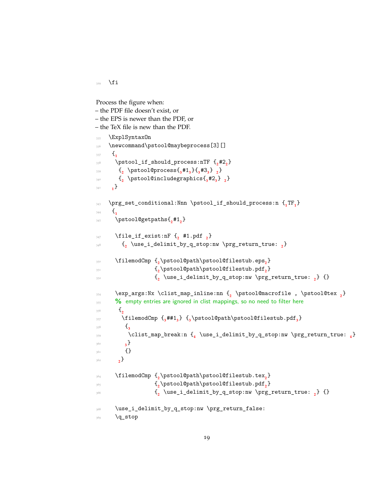$329$  \fi

```
Process the figure when:
– the PDF file doesn't exist, or
– the EPS is newer than the PDF, or
– the TeX file is new than the PDF.
335 \ExplSyntaxOn
336 \newcommand\pstool@maybeprocess[3][]
337 {<sub>1</sub>
\text{Nptool}_\text{1} should_process:nTF \{2\#2\}339 {2
\pstool@process{3
#13
}{3
#33
} 2
}
340 {2
\pstool@includegraphics{3
#23
} 2
}
341 1
     ^{1}\text{343} \prg_set_conditional:Nnn \pstool_if_should_process:n {<sub>1</sub>TF<sub>1</sub>}
\frac{344}{1} \frac{1}{1}345 \pstool@getpaths{2
#12
}
347 \file_if_exist:nF {2
#1.pdf 2
}
348 {2
\use_i_delimit_by_q_stop:nw \prg_return_true: 2
}
350 \filemodCmp {2
\pstool@path\pstool@filestub.eps2
}
\{<sub>2</sub>
                      \pstool@path\pstool@filestub.pdf<sub>2</sub>}
\{<sub>2</sub> \}<sup>352</sup>
                       \use_i_delimit_by_q_stop:nw \prg_return_true: 2
} {}
354 \exp_args:Nx \clist_map_inline:nn {2
\pstool@macrofile , \pstool@tex 2
}
<sup>355</sup> 86 empty entries are ignored in clist mappings, so no need to filter here
356 {2
357 \filemodCmp {3
##13
} {3
\pstool@path\pstool@filestub.pdf3
}
358 \{3\}359 \clist_map_break:n {4
\use_i_delimit_by_q_stop:nw \prg_return_true: 4
}
360 3
          \}361 {}
362 2
}
364 \filemodCmp {2
\pstool@path\pstool@filestub.tex2
}
3^{65} {2
                      \pstool@path\pstool@filestub.pdf<sub>2</sub>}
3^{66} {2
                       \use_i_delimit_by_q_stop:nw \prg_return_true: 2
} {}
368 \use_i_delimit_by_q_stop:nw \prg_return_false:
369 \q_stop
```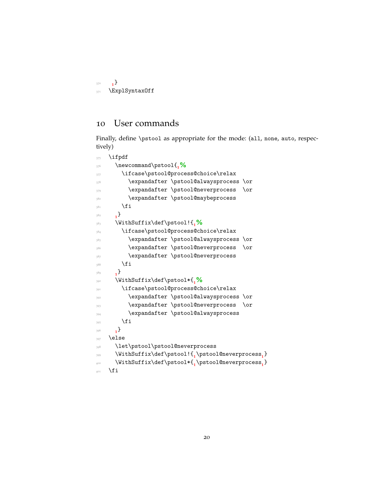```
370 1
371 \ExplSyntaxOff
```
## <span id="page-19-0"></span>User commands

Finally, define \pstool as appropriate for the mode: (all, none, auto, respectively)

```
375 \ifpdf
376 \newcommand\pstool{1%
377 \ifcase\pstool@process@choice\relax
378 \expandafter \pstool@alwaysprocess \or
379 \expandafter \pstool@neverprocess \or
380 \expandafter \pstool@maybeprocess
\mathcal{A}_{381} \fi
382 1
     ^{1}383 \WithSuffix\def\pstool!{1%
384 \ifcase\pstool@process@choice\relax
385 \expandafter \pstool@alwaysprocess \or
386 \expandafter \pstool@neverprocess \or
387 \expandafter \pstool@neverprocess
388 \fi
389 1
     ^{1}390 \WithSuffix\def\pstool*{1%
391 \ifcase\pstool@process@choice\relax
392 \expandafter \pstool@alwaysprocess \or
393 \expandafter \pstool@neverprocess \or
394 \expandafter \pstool@alwaysprocess
\frac{1}{395} \fi
396 1
     \begin{bmatrix} 1 \end{bmatrix}397 \else
398 \let\pstool\pstool@neverprocess
399 \WithSuffix\def\pstool!{1
\pstool@neverprocess1
}
400 \WithSuffix\def\pstool*{1
\pstool@neverprocess1
}
401 \fi
```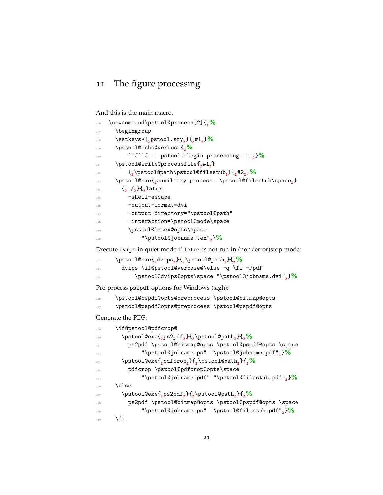## <span id="page-20-0"></span>11 The figure processing

And this is the main macro.

| 406 | \newcommand\pstool@process[2]{ <sub>1</sub> %                       |
|-----|---------------------------------------------------------------------|
| 407 | \begingroup                                                         |
| 408 | $\setminus$ setkeys*{,pstool.sty,}{,#1,}%                           |
| 409 | \pstool@echo@verbose{,%                                             |
| 410 | ^^J^^J === pstool: begin processing === $\frac{1}{2}$ }%            |
| 411 | \pstool@write@processfile{,#1,}                                     |
| 412 | $\{\, \cdot \}$ \pstool@path\pstool@filestub, } $\{ \, , \#2, \}$ % |
| 413 | \pstool@exe{,auxiliary process: \pstool@filestub\space,}            |
| 414 | $\{1, 1, 1\}$ , latex                                               |
| 415 | -shell-escape                                                       |
| 416 | -output-format=dvi                                                  |
| 417 | -output-directory="\pstool@path"                                    |
| 418 | -interaction=\pstool@mode\space                                     |
| 419 | \pstool@latex@opts\space                                            |
| 420 | "\pstool@jobname.tex",}%                                            |

Execute dvips in quiet mode if latex is not run in (non/error)stop mode:

| 422 | \pstool@exe{,dvips,}{,\pstool@path,}{,%                     |
|-----|-------------------------------------------------------------|
| 423 | dvips \if@pstool@verbose@\else -q \fi -Ppdf                 |
| 424 | $\beta$ . \pstool@dvips@opts\space "\pstool@jobname.dvi",}\ |

Pre-process ps2pdf options for Windows (sigh):

<sup>426</sup> \pstool@pspdf@opts@preprocess \pstool@bitmap@opts

<sup>427</sup> \pstool@pspdf@opts@preprocess \pstool@pspdf@opts

Generate the PDF:

| 429 | \if@pstool@pdfcrop@                                                                           |  |
|-----|-----------------------------------------------------------------------------------------------|--|
| 430 | \pstool@exe{,ps2pdf,}{,\pstool@path,}{,%                                                      |  |
| 431 | ps2pdf \pstool@bitmap@opts \pstool@pspdf@opts \space                                          |  |
| 432 | "\pstool@jobname.ps" "\pstool@jobname.pdf", $\frac{9}{6}$                                     |  |
| 433 | $\pi\$                                                                                        |  |
| 434 | pdfcrop \pstool@pdfcrop@opts\space                                                            |  |
| 435 | "\pstool@jobname.pdf" "\pstool@filestub.pdf", $\frac{9}{6}$                                   |  |
| 436 | \else                                                                                         |  |
| 437 | \pstool@exe{ <sub>2</sub> ps2pdf <sub>2</sub> }{ <sub>2</sub> \pstool@path <sub>2</sub> }{2}% |  |
| 438 | ps2pdf \pstool@bitmap@opts \pstool@pspdf@opts \space                                          |  |
| 439 | "\pstool@jobname.ps" "\pstool@filestub.pdf", $\frac{9}{6}$                                    |  |
| 440 | \fi                                                                                           |  |
|     |                                                                                               |  |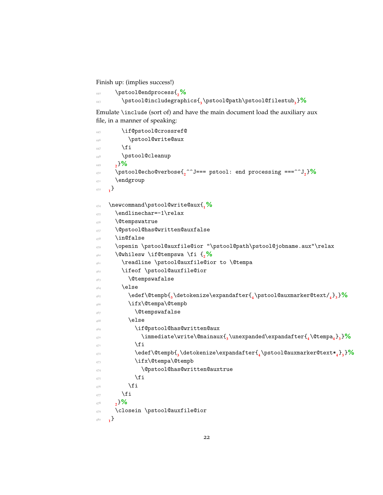Finish up: (implies success!)

```
442 \pstool@endprocess{2%
443 \pstool@includegraphics{3
\pstool@path\pstool@filestub3
}%
```
Emulate \include (sort of) and have the main document load the auxiliary aux file, in a manner of speaking:

```
445 \if@pstool@crossref@
446 \pstool@write@aux
\overline{f} \overline{f} \overline{f}448 \pstool@cleanup
449 2
      }%
450 \pstool@echo@verbose{2
^^J=== pstool: end processing ===^^J2
}%
451 \endgroup
452 1
}
454 \newcommand\pstool@write@aux{1%
455 \endlinechar=-1\relax
456 \Ctempswatrue
457 \@pstool@has@written@auxfalse
458 \in@false
459 \openin \pstool@auxfile@ior "\pstool@path\pstool@jobname.aux"\relax
460 \@whilesw \if@tempswa \fi {2%
461 \readline \pstool@auxfile@ior to \@tempa
462 \ifeof \pstool@auxfile@ior
^{463} \qquad \qquad \text{Ctempswafalse}464 \else
\text{4}466 \ifx\@tempa\@tempb
467 \qquad \qquad \qquad \qquad \qquad \qquad \qquad \qquad \qquad \qquad \qquad \qquad \qquad \qquad \qquad \qquad \qquad \qquad \qquad \qquad \qquad \qquad \qquad \qquad \qquad \qquad \qquad \qquad \qquad \qquad \qquad \qquad \qquad \qquad \qquad \qquad \qquad \qquad \qquad \qquad \qquad468 \else
469 \if@pstool@has@written@aux
470 \immediate\write\@mainaux{3
\unexpanded\expandafter{4
\@tempa4
}3
}%
471 \qquad \qquad \text{if i}\text{4}473 \ifx\@tempa\@tempb
474 \@pstool@has@written@auxtrue
475 \overline{\phantom{a}}476 \qquad \qquad \text{if i}477 \fi
478 2
      }%
479 \closein \pstool@auxfile@ior
480 1
    _{1}}
```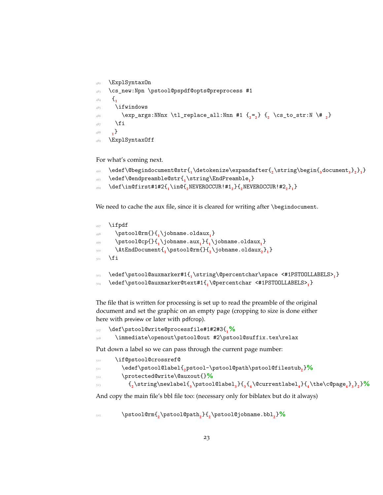```
482 \ExplSyntaxOn
483 \cs_new:Npn \pstool@pspdf@opts@preprocess #1
484 {1
485 \ifwindows
\text{key\_args: NNnx } \tl_1\text{-replace\_all: Nnn } #1 \ \{_2 = _2\} \ \{_2 \ \text{cs\_to\_str: N } \# \ \{_2\}487 \fi
488 1
      ^{1}489 \ExplSyntaxOff
```
For what's coming next.

```
_{492} \edef\@begindocument@str\{<sub>1</sub>\detokenize\expandafter\{<sub>2</sub>\string\begin\{<sub>3</sub> document_3\}<sub>2</sub>\}<sub>1</sub>\}
```

```
493 \edef\@endpreamble@str{1
\string\EndPreamble1
}
```

```
494 \def\in@first#1#2{1
\in@{2
NEVEROCCUR!#12
}{2
NEVEROCCUR!#22
}1
}
```
We need to cache the aux file, since it is cleared for writing after \begindocument.

```
\ifpdf
498 \pstool@rm{}{1
\jobname.oldaux1
}
499 \pstool@cp{}{1
\jobname.aux1
}{1
\jobname.oldaux1
}
500 \AtEndDocument{1
\pstool@rm{}{2
\jobname.oldaux2
}1
}
   \chii
503 \edef\pstool@auxmarker#1{1
\string\@percentchar\space <#1PSTOOLLABELS>1
}
```
<sup>504</sup> \edef\pstool@auxmarker@text#1{**<sup>1</sup>** \@percentchar <#1PSTOOLLABELS>**<sup>1</sup>** }

The file that is written for processing is set up to read the preamble of the original document and set the graphic on an empty page (cropping to size is done either here with preview or later with pdfcrop).

```
507 \def\pstool@write@processfile#1#2#3{1%
```

```
\immediate\openout\pstool@out #2\pstool@suffix.tex\relax
```
Put down a label so we can pass through the current page number:

```
510 \if@pstool@crossref@
```

```
511 \edef\pstool@label{2
pstool-\pstool@path\pstool@filestub2
}%
```

```
512 \protected@write\@auxout{}%
```

```
\{2\text{newlabel}\{\text{newlabel}\{3}\{3\}
```
And copy the main file's bbl file too: (necessary only for biblatex but do it always)

<sup>515</sup> \pstool@rm{**<sup>2</sup>** \pstool@path**<sup>2</sup>** }{**<sup>2</sup>** \pstool@jobname.bbl**<sup>2</sup>** }**%**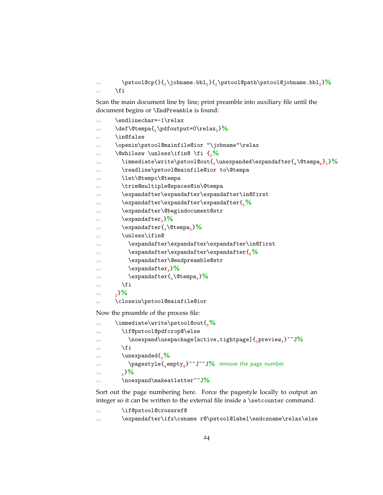\pstool@cp{}{**<sup>2</sup>** \jobname.bbl**<sup>2</sup>** }{**<sup>2</sup>** \pstool@path\pstool@jobname.bbl**<sup>2</sup>** }**%** \fi

Scan the main document line by line; print preamble into auxiliary file until the document begins or \EndPreamble is found:

```
519 \endlinechar=-1\relax
520 \def\@tempa{2
\pdfoutput=0\relax2
}%
521 \in@false
522 \openin\pstool@mainfile@ior "\jobname"\relax
523 \@whilesw \unless\ifin@ \fi {2%
524 \immediate\write\pstool@out{3
\unexpanded\expandafter{4
\@tempa4
}3
}%
525 \readline\pstool@mainfile@ior to\@tempa
526 \let\@tempc\@tempa
527 \trim@multiple@spaces@in\@tempa
528 \expandafter\expandafter\expandafter\in@first
529 \expandafter\expandafter\expandafter{3%
530 \expandafter\@begindocument@str
531 \expandafter3
}%
532 \expandafter{3
\@tempa3
}%
533 \unless\ifin@
534 \expandafter\expandafter\expandafter\in@first
535 \expandafter\expandafter\expandafter{3%
536 \expandafter\@endpreamble@str
537 \expandafter3
}%
538 \expandafter{3
\@tempa3
}%
\int fi
540 2
     }%
541 \closein\pstool@mainfile@ior
Now the preamble of the process file:
```

| 543 | \immediate\write\pstool@out{,%                                                  |  |
|-----|---------------------------------------------------------------------------------|--|
| 544 | \if@pstool@pdfcrop@\else                                                        |  |
| 545 | \noexpand\usepackage[active,tightpage]{ <sub>a</sub> preview <sub>a</sub> }^^J% |  |
| 546 | \fi                                                                             |  |
| 547 | \unexpanded{ <sub>2</sub> %                                                     |  |
| 548 | \pagestyle{_empty_}^^J^^J% remove the page number                               |  |
| 549 | ,3%                                                                             |  |
| 550 | \noexpand\makeatletter^^J <mark>%</mark>                                        |  |

Sort out the page numbering here. Force the pagestyle locally to output an integer so it can be written to the external file inside a \setcounter command.

| 553 | \if@pstool@crossref@ |                                                              |
|-----|----------------------|--------------------------------------------------------------|
| 554 |                      | \expandafter\ifx\csname r@\pstool@label\endcsname\relax\else |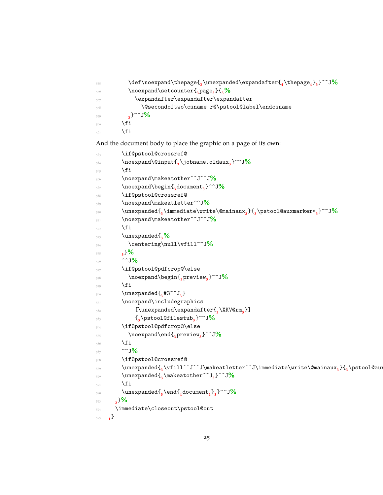```
555 \def\noexpand\thepage{3
\unexpanded\expandafter{4
\thepage4
}3
}^^J%
556 \noexpand\setcounter{3
page3
}{3%
557 \expandafter\expandafter\expandafter
558 \@secondoftwo\csname r@\pstool@label\endcsname
559 3
         _{3}}^^J%
560 \quad \text{if}561 \fi
```
And the document body to place the graphic on a page of its own:

```
563 \if@pstool@crossref@
564 \noexpand\@input{3
\jobname.oldaux3
}^^J%
565 \fi
566 \noexpand\makeatother^^J^^J%
567 \noexpand\begin{3
document3
}^^J%
568 \if@pstool@crossref@
569 \noexpand\makeatletter^^J%
570 \unexpanded{3
\immediate\write\@mainaux3
}{3
\pstool@auxmarker*3
}^^J%
571 \noexpand\makeatother^^J^^J%
572 \qquad \qquad \text{ifi}573 \unexpanded{3%
574 \centering\null\vfill^^J%
575 3
       }%
576 ^^J%
577 \if@pstool@pdfcrop@\else
578 \noexpand\begin{3
preview3
}^^J%
579 \quad \text{if} \quad580 \unexpanded{<sub>3</sub>#3^^J<sub>3</sub>}
581 \noexpand\includegraphics
582 [\unexpanded\expandafter{3
\XKV@rm3
}]
5^{83} \{<sub>3</sub>
             \pstool@filestub3
}^^J%
584 \if@pstool@pdfcrop@\else
585 \noexpand\end{3
preview3
}^^J%
586 \fi
587 ^^J%
588 \if@pstool@crossref@
\frac{3}{3} \v{111^\circ J^\circ J\m{a} \sim d and \frac{3}{3} \v{111^\circ}590 \unexpanded{3
\makeatother^^J3
}^^J%
\int_{591} \fi
592 \unexpanded{3
\end{4
document4
}3
}^^J%
593 2
     }%
594 \immediate\closeout\pstool@out
595 1
   \}
```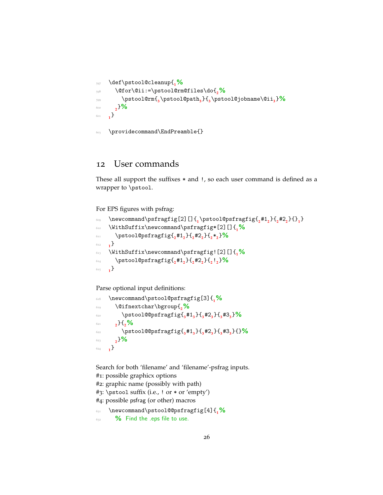```
597 \def\pstool@cleanup{1%
598 \@for\@ii:=\pstool@rm@files\do{2%
599 \pstool@rm{3
\pstool@path3
}{3
\pstool@jobname\@ii3
}%
600 2
}%
601 1
}
```

```
603 \providecommand\EndPreamble{}
```
## <span id="page-25-0"></span>12 User commands

These all support the suffixes \* and !, so each user command is defined as a wrapper to \pstool.

For EPS figures with psfrag:

```
\frac{609}{\pi} \newcommand\psfragfig[2][]{<sub>1</sub>\pstool@psfragfig{<sub>2</sub>#1<sub>2</sub>}{<sub>2</sub>#2<sub>2</sub>}{}<sub>1</sub>}
610 \WithSuffix\newcommand\psfragfig*[2][]{1%
\text{Nptool@psfragfig{ } \frac{4}{2} \#1_{2}\} \{ _{2} \#2_{2}\} \{ _{2} \} \}612 1
      ^{1}613 \WithSuffix\newcommand\psfragfig![2][]{1%
\text{Nptool@psfragfig{ } \frac{4}{2} \#1_{2}\} \{ _{2} \#2_{2}\} \{ _{2} \} \}615 1
}
```
Parse optional input definitions:

```
618 \newcommand\pstool@psfragfig[3]{1%
619 \@ifnextchar\bgroup{2%
620 \pstool@@psfragfig{3
#13
}{3
#23
}{3
#33
}%
621 2
      }{2%
622 \pstool@@psfragfig{3
#13
}{3
#23
}{3
#33
}{}%
623 2
}%
624 1
   ^{1}
```
Search for both 'filename' and 'filename'-psfrag inputs.

```
#1: possible graphicx options
#2: graphic name (possibly with path)
#3: \pstool suffix (i.e., ! or * or 'empty')
#4: possible psfrag (or other) macros
631 \newcommand\pstool@@psfragfig[4]{1%
632 % Find the .eps file to use.
```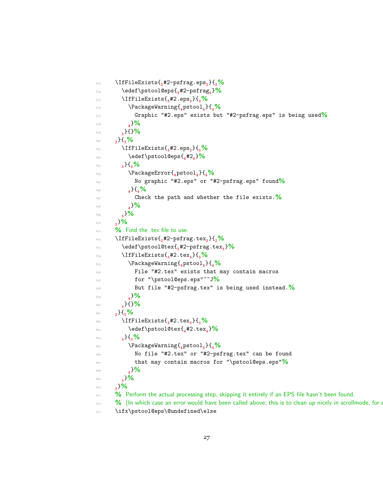```
633 \IfFileExists{2
#2-psfrag.eps2
}{2%
634 \edef\pstool@eps{3
#2-psfrag3
}%
635 \IfFileExists{3
#2.eps3
}{3%
636 \PackageWarning{4
pstool4
}{4%
637 Graphic "#2.eps" exists but "#2-psfrag.eps" is being used%
638 4
         }%
639 3
       }{}%
640 2
     }{2%
641 \IfFileExists{3
#2.eps3
}{3%
\text{642} \text{642}643 3
       }{3%
644 \PackageError{4
pstool4
}{4%
645 No graphic "#2.eps" or "#2-psfrag.eps" found%
646 4
         }{4%
647 Check the path and whether the file exists.%
648 4
         }%
649 3
       }%
650 2
     }%
651 % Find the .tex file to use.
652 \IfFileExists{2
#2-psfrag.tex2
}{2%
\text{653} \text{edef}\text{pstool@tex\{f}_3#2-psfrag.tex\{3}654 \IfFileExists{3
#2.tex3
}{3%
655 \PackageWarning{4
pstool4
}{4%
656 File "#2.tex" exists that may contain macros
657 for "\pstool@eps.eps"^^J%
658 But file "#2-psfrag.tex" is being used instead.%
659 4
         }%
660 3
       }{}%
661 2
}{2%
662 \IfFileExists{3
#2.tex3
}{3%
663 \edef\pstool@tex{4
#2.tex4
}%
664 3
       }{3%
665 \PackageWarning{4
pstool4
}{4%
666 No file "#2.tex" or "#2-psfrag.tex" can be found
667 that may contain macros for "\pstool@eps.eps"%
668 4
         }%
669 3
       }%
670 2
     }%
<sup>671</sup> % Perform the actual processing step, skipping it entirely if an EPS file hasn't been found.
672 % (In which case an error would have been called above; this is to clean up nicely in scrollmode, for example.
673 \ifx\pstool@eps\@undefined\else
```